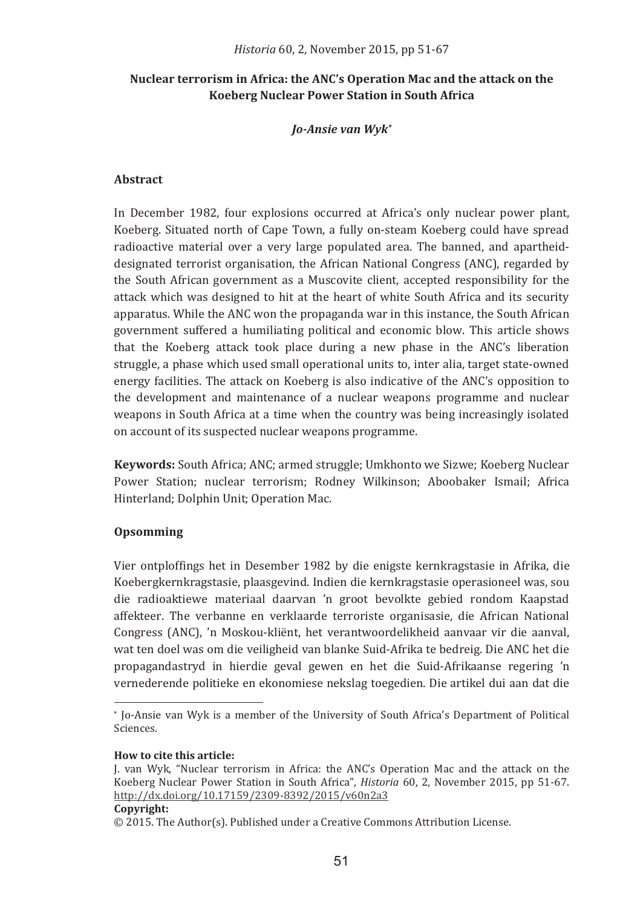# Nuclear terrorism in Africa: the ANC's Operation Mac and the attack on the **Koeberg Nuclear Power Station in South Africa**

### *Jo�Ansie�van�Wyk\**

### **Abstract�**

In December 1982, four explosions occurred at Africa's only nuclear power plant, Koeberg. Situated north of Cape Town, a fully on-steam Koeberg could have spread radioactive material over a very large populated area. The banned, and apartheiddesignated terrorist organisation, the African National Congress (ANC), regarded by the South African government as a Muscovite client, accepted responsibility for the attack which was designed to hit at the heart of white South Africa and its security apparatus. While the ANC won the propaganda war in this instance, the South African government suffered a humiliating political and economic blow. This article shows that the Koeberg attack took place during a new phase in the ANC's liberation struggie, a phase which used small operational units to, inter alia, target state-owned energy facilities. The attack on Koeberg is also indicative of the ANC's opposition to the development and maintenance of a nuclear weapons programme and nuclear weapons in South Africa at a time when the country was being increasingly isolated on account of its suspected nuclear weapons programme.

**Keywords:** South Africa; ANC; armed struggle; Umkhonto we Sizwe; Koeberg Nuclear Power Station; nuclear terrorism; Rodney Wilkinson; Aboobaker Ismail; Africa Hinterland; Dolphin Unit; Operation Mac.

## **Opsomming�**

Vier ontploffings het in Desember 1982 by die enigste kernkragstasie in Afrika, die Koebergkernkragstasie, plaasgevind. Indien die kernkragstasie operasioneel was, sou die radioaktiewe materiaal daarvan 'n groot bevolkte gebied rondom Kaapstad affekteer. The verbanne en verklaarde terroriste organisasie, die African National Congress (ANC), 'n Moskou-klient, het verantwoordelikheid aanvaar vir die aanval, wat ten doel was om die veiligheid van blanke Suid-Afrika te bedreig. Die ANC het die propagandastryd in hierdie geval gewen en het die Suid-Afrikaanse regering 'n vernederende politieke en ekonomiese nekslag toegedien. Die artikel dui aan dat die

<sup>\*</sup> Jo-Ansie van Wyk is a member of the University of South Africa's Department of Political  $S<sub>c</sub>$ iences

**How to cite this article:** 

J. van Wyk, "Nuclear terrorism in Africa: the ANC's Operation Mac and the attack on the Koeberg Nuclear Power Station in South Africa". *Historia* 60, 2. November 2015, pp 51-67. <u> http://dx.doi.org/10.17159/2309-8392/2015/v60n2a3</u>

 $\odot$  2015. The Author(s). Published under a Creative Commons Attribution License.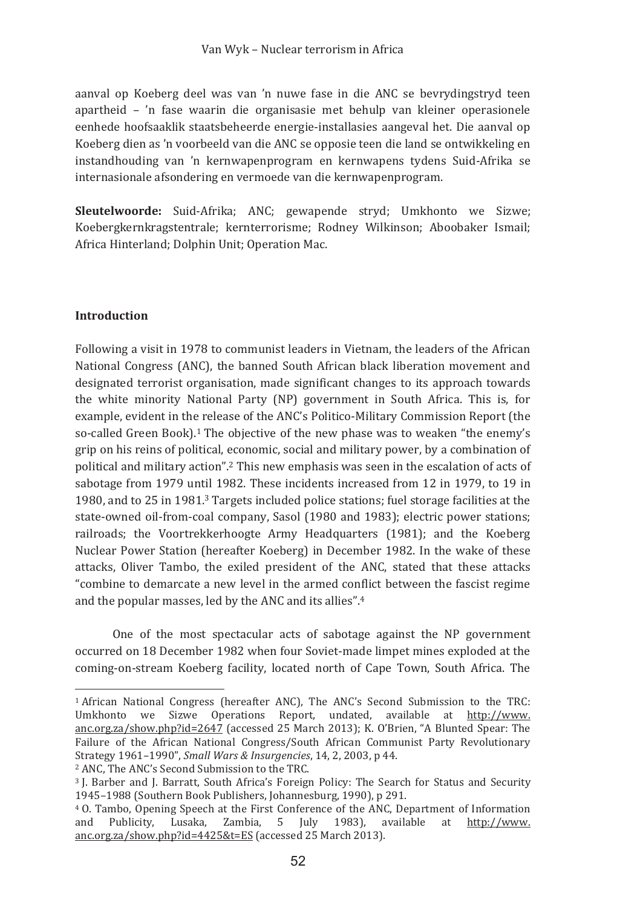aanval op Koeberg deel was van 'n nuwe fase in die ANC se bevrydingstryd teen apartheid - 'n fase waarin die organisasie met behulp van kleiner operasionele eenhede hoofsaaklik staatsbeheerde energie-installasies aangeval het. Die aanval op Koeberg dien as 'n voorbeeld van die ANC se opposie teen die land se ontwikkeling en instandhouding van 'n kernwapenprogram en kernwapens tydens Suid-Afrika se internasionale afsondering en vermoede van die kernwapenprogram.

Sleutelwoorde: Suid-Afrika; ANC; gewapende stryd; Umkhonto we Sizwe; Koebergkernkragstentrale; kernterrorisme; Rodney Wilkinson; Aboobaker Ismail; Africa Hinterland: Dolphin Unit: Operation Mac.

### **Introduction**

Following a visit in 1978 to communist leaders in Vietnam, the leaders of the African National Congress (ANC), the banned South African black liberation movement and designated terrorist organisation, made significant changes to its approach towards the white minority National Party (NP) government in South Africa. This is, for example, evident in the release of the ANC's Politico-Military Commission Report (the so-called Green Book).<sup>1</sup> The objective of the new phase was to weaken "the enemy's grip on his reins of political, economic, social and military power, by a combination of political and military action".<sup>2</sup> This new emphasis was seen in the escalation of acts of sabotage from 1979 until 1982. These incidents increased from 12 in 1979, to 19 in 1980, and to 25 in 1981.<sup>3</sup> Targets included police stations; fuel storage facilities at the state-owned oil-from-coal company, Sasol (1980 and 1983); electric power stations; railroads: the Voortrekkerhoogte Army Headquarters (1981): and the Koeberg Nuclear Power Station (hereafter Koeberg) in December 1982. In the wake of these attacks, Oliver Tambo, the exiled president of the ANC, stated that these attacks "combine to demarcate a new level in the armed conflict between the fascist regime and the popular masses, led by the ANC and its allies".4

One of the most spectacular acts of sabotage against the NP government occurred on 18 December 1982 when four Soviet-made limpet mines exploded at the coming-on-stream Koeberg facility, located north of Cape Town, South Africa. The

<sup>&</sup>lt;sup>1</sup> African National Congress (hereafter ANC). The ANC's Second Submission to the TRC: Umkhonto we Sizwe Operations Report, undated, available at http://www. anc.org.za/show.php?id=2647 (accessed 25 March 2013); K. O'Brien, "A Blunted Spear: The Failure of the African National Congress/South African Communist Party Revolutionary Strategy 1961-1990", Small Wars & Insurgencies, 14, 2, 2003, p 44.

<sup>&</sup>lt;sup>2</sup> ANC. The ANC's Second Submission to the TRC.

<sup>&</sup>lt;sup>3</sup> I. Barber and I. Barratt. South Africa's Foreign Policy: The Search for Status and Security 1945-1988 (Southern Book Publishers, Johannesburg, 1990), p 291.

<sup>4 0.</sup> Tambo, Opening Speech at the First Conference of the ANC, Department of Information and Publicity. Lusaka. Zambia. 5 July 1983), available at http://www. anc.org.za/show.php?id=4425&t=ES (accessed 25 March 2013).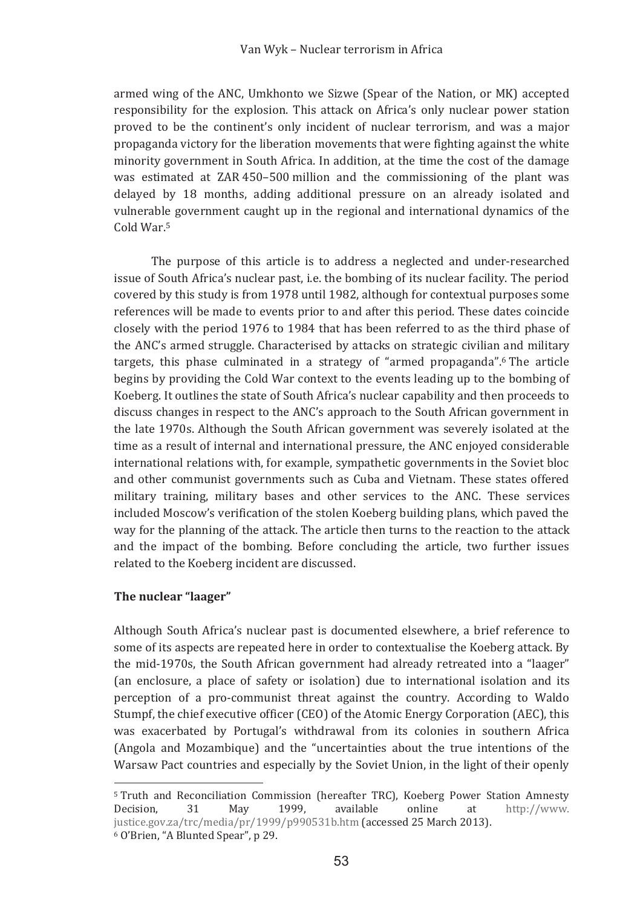armed wing of the ANC. Umkhonto we Sizwe (Spear of the Nation, or MK) accepted responsibility for the explosion. This attack on Africa's only nuclear power station proved to be the continent's only incident of nuclear terrorism, and was a major propaganda victory for the liberation movements that were fighting against the white minority government in South Africa. In addition, at the time the cost of the damage was estimated at ZAR 450-500 million and the commissioning of the plant was delayed by 18 months, adding additional pressure on an already isolated and vulnerable government caught up in the regional and international dynamics of the Cold War.<sup>5</sup>

The purpose of this article is to address a neglected and under-researched issue of South Africa's nuclear past, i.e. the bombing of its nuclear facility. The period covered by this study is from 1978 until 1982, although for contextual purposes some references will be made to events prior to and after this period. These dates coincide closely with the period 1976 to 1984 that has been referred to as the third phase of the ANC's armed struggle. Characterised by attacks on strategic civilian and military targets, this phase culminated in a strategy of "armed propaganda".<sup>6</sup> The article begins by providing the Cold War context to the events leading up to the bombing of Koeberg. It outlines the state of South Africa's nuclear capability and then proceeds to discuss changes in respect to the ANC's approach to the South African government in the late 1970s. Although the South African government was severely isolated at the time as a result of internal and international pressure, the ANC enjoyed considerable international relations with, for example, sympathetic governments in the Soviet bloc and other communist governments such as Cuba and Vietnam. These states offered military training, military bases and other services to the ANC. These services included Moscow's verification of the stolen Koeberg building plans, which paved the way for the planning of the attack. The article then turns to the reaction to the attack and the impact of the bombing. Before concluding the article, two further issues related to the Koeberg incident are discussed.

### The nuclear "laager"

Although South Africa's nuclear past is documented elsewhere, a brief reference to some of its aspects are repeated here in order to contextualise the Koeberg attack. By the mid-1970s, the South African government had already retreated into a "laager" (an enclosure, a place of safety or isolation) due to international isolation and its perception of a pro-communist threat against the country. According to Waldo Stumpf, the chief executive officer (CEO) of the Atomic Energy Corporation (AEC), this was exacerbated by Portugal's withdrawal from its colonies in southern Africa (Angola and Mozambique) and the "uncertainties about the true intentions of the Warsaw Pact countries and especially by the Soviet Union, in the light of their openly

<sup>5</sup> Truth and Reconciliation Commission (hereafter TRC), Koeberg Power Station Amnesty Decision, 31 May 1999, available online at http://www. justice.gov.za/trc/media/pr/1999/p990531b.htm (accessed 25 March 2013).

<sup>&</sup>lt;sup>6</sup> O'Brien, "A Blunted Spear", p 29.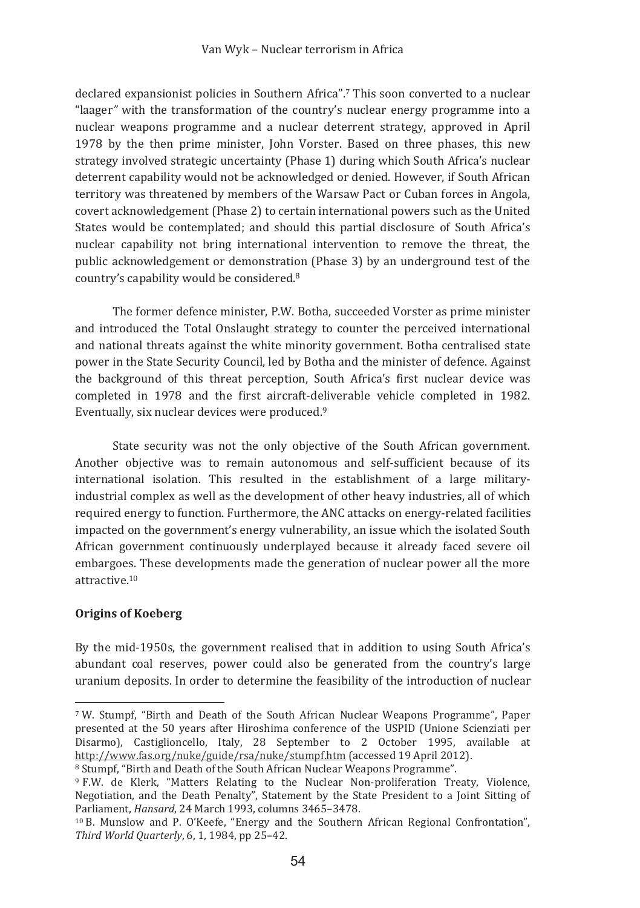declared expansionist policies in Southern Africa".<sup>7</sup> This soon converted to a nuclear "laager" with the transformation of the country's nuclear energy programme into a nuclear weapons programme and a nuclear deterrent strategy, approved in April 1978 by the then prime minister. John Vorster, Based on three phases, this new strategy involved strategic uncertainty (Phase 1) during which South Africa's nuclear deterrent capability would not be acknowledged or denied. However, if South African territory was threatened by members of the Warsaw Pact or Cuban forces in Angola. covert acknowledgement (Phase 2) to certain international powers such as the United States would be contemplated; and should this partial disclosure of South Africa's nuclear capability not bring international intervention to remove the threat, the public acknowledgement or demonstration (Phase 3) by an underground test of the country's capability would be considered.<sup>8</sup>

The former defence minister, P.W. Botha, succeeded Vorster as prime minister and introduced the Total Onslaught strategy to counter the perceived international and national threats against the white minority government. Botha centralised state power in the State Security Council, led by Botha and the minister of defence. Against the background of this threat perception, South Africa's first nuclear device was completed in 1978 and the first aircraft-deliverable vehicle completed in 1982. Eventually, six nuclear devices were produced.<sup>9</sup>

State security was not the only objective of the South African government. Another objective was to remain autonomous and self-sufficient because of its international isolation. This resulted in the establishment of a large militaryindustrial complex as well as the development of other heavy industries, all of which required energy to function. Furthermore, the ANC attacks on energy-related facilities impacted on the government's energy vulnerability, an issue which the isolated South African government continuously underplayed because it already faced severe oil embargoes. These developments made the generation of nuclear power all the more  $attractive<sup>10</sup>$ 

## **Origins of Koeberg**

By the mid-1950s, the government realised that in addition to using South Africa's abundant coal reserves, power could also be generated from the country's large uranium deposits. In order to determine the feasibility of the introduction of nuclear

<sup>7</sup> W. Stumpf, "Birth and Death of the South African Nuclear Weapons Programme", Paper presented at the 50 years after Hiroshima conference of the USPID (Unione Scienziati per Disarmo), Castiglioncello, Italy, 28 September to 2 October 1995, available at http://www.fas.org/nuke/guide/rsa/nuke/stumpf.htm (accessed 19 April 2012).

<sup>&</sup>lt;sup>8</sup> Stumpf, "Birth and Death of the South African Nuclear Weapons Programme".

<sup>&</sup>lt;sup>9</sup> F.W. de Klerk. "Matters Relating to the Nuclear Non-proliferation Treaty. Violence. Negotiation, and the Death Penalty", Statement by the State President to a Joint Sitting of Parliament, Hansard, 24 March 1993, columns 3465-3478.

<sup>&</sup>lt;sup>10</sup> B. Munslow and P. O'Keefe. "Energy and the Southern African Regional Confrontation". Third World Quarterly, 6, 1, 1984, pp 25-42.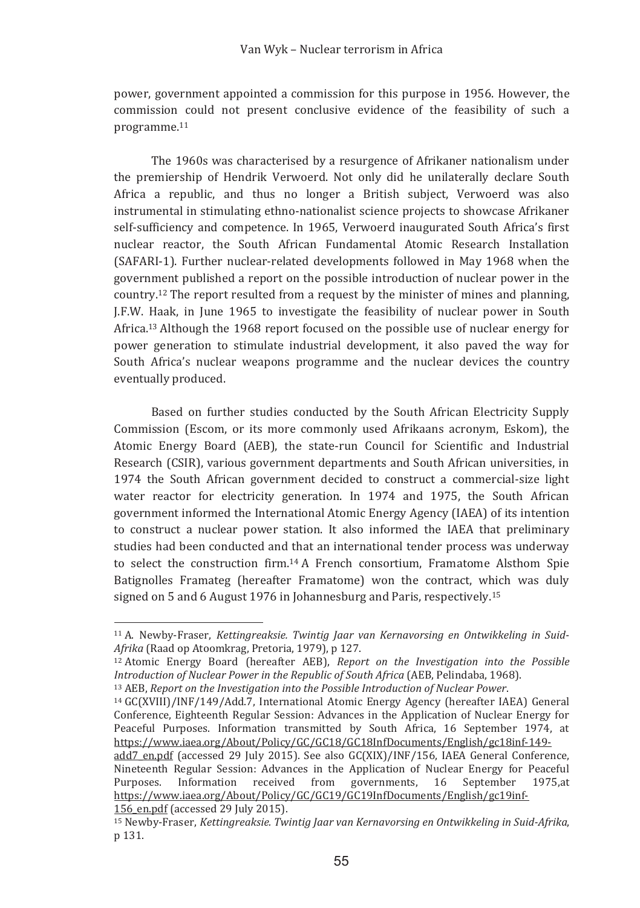power, government appointed a commission for this purpose in 1956. However, the commission could not present conclusive evidence of the feasibility of such a programme.<sup>11</sup>

The 1960s was characterised by a resurgence of Afrikaner nationalism under the premiership of Hendrik Verwoerd. Not only did he unilaterally declare South Africa a republic, and thus no longer a British subject. Verwoerd was also instrumental in stimulating ethno-nationalist science projects to showcase Afrikaner self-sufficiency and competence. In 1965, Verwoerd inaugurated South Africa's first nuclear reactor, the South African Fundamental Atomic Research Installation (SAFARI-1). Further nuclear-related developments followed in May 1968 when the government published a report on the possible introduction of nuclear power in the country,<sup>12</sup> The report resulted from a request by the minister of mines and planning. J.F.W. Haak, in June 1965 to investigate the feasibility of nuclear power in South Africa.<sup>13</sup> Although the 1968 report focused on the possible use of nuclear energy for power generation to stimulate industrial development, it also payed the way for South Africa's nuclear weapons programme and the nuclear devices the country eventually produced.

Based on further studies conducted by the South African Electricity Supply Commission (Escom, or its more commonly used Afrikaans acronym, Eskom), the Atomic Energy Board (AEB), the state-run Council for Scientific and Industrial Research (CSIR), various government departments and South African universities, in 1974 the South African government decided to construct a commercial-size light water reactor for electricity generation. In 1974 and 1975, the South African government informed the International Atomic Energy Agency (IAEA) of its intention to construct a nuclear power station. It also informed the IAEA that preliminary studies had been conducted and that an international tender process was underway to select the construction firm.<sup>14</sup> A French consortium, Framatome Alsthom Spie Batignolles Framateg (hereafter Framatome) won the contract, which was duly signed on 5 and 6 August 1976 in Johannesburg and Paris, respectively.<sup>15</sup>

<sup>&</sup>lt;sup>11</sup> A. Newby-Fraser, Kettinareaksie. Twintia Jaar van Kernavorsina en Ontwikkelina in Suid-Afrika (Raad op Atoomkrag, Pretoria, 1979), p 127.

<sup>&</sup>lt;sup>12</sup> Atomic Energy Board (hereafter AEB), Report on the Investigation into the Possible Introduction of Nuclear Power in the Republic of South Africa (AEB, Pelindaba, 1968).

 $13$  AEB. Report on the Investigation into the Possible Introduction of Nuclear Power.

<sup>&</sup>lt;sup>14</sup> GC(XVIII)/INF/149/Add.7. International Atomic Energy Agency (hereafter IAEA) General Conference, Eighteenth Regular Session: Advances in the Application of Nuclear Energy for Peaceful Purposes. Information transmitted by South Africa, 16 September 1974, at https://www.iaea.org/About/Policy/GC/GC18/GC18InfDocuments/English/gc18inf-149-

add7 en.pdf (accessed 29 July 2015). See also GC(XIX)/INF/156, IAEA General Conference, Nineteenth Regular Session: Advances in the Application of Nuclear Energy for Peaceful Purposes. Information received from governments. September 16 1975.at https://www.iaea.org/About/Policy/GC/GC19/GC19InfDocuments/English/gc19inf-156 en.pdf (accessed 29 July 2015).

<sup>&</sup>lt;sup>15</sup> Newby-Fraser, Kettingreaksie, Twintig Jaar van Kernavorsing en Ontwikkeling in Suid-Afrika. n 131.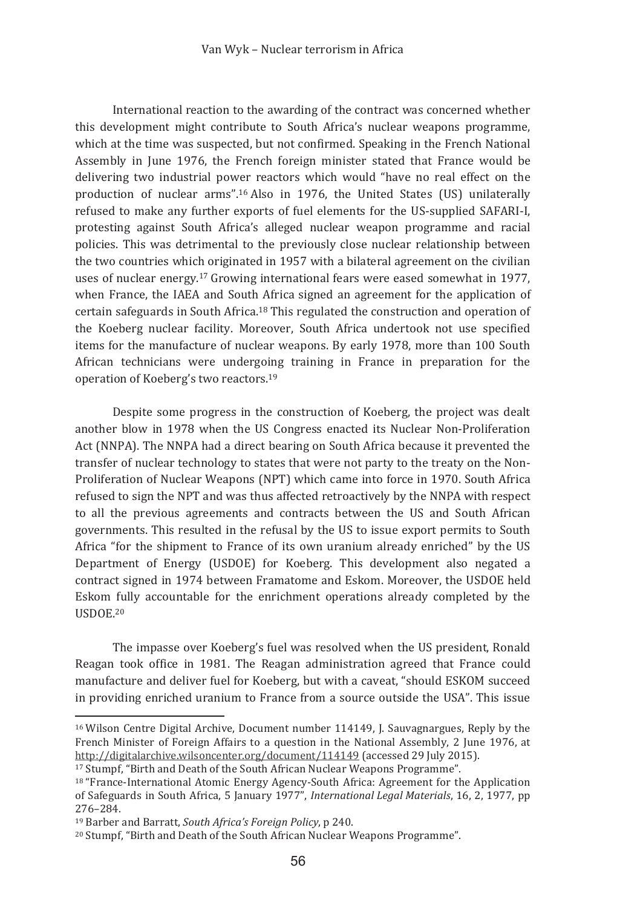International reaction to the awarding of the contract was concerned whether this development might contribute to South Africa's nuclear weapons programme, which at the time was suspected, but not confirmed. Speaking in the French National Assembly in June 1976, the French foreign minister stated that France would be delivering two industrial power reactors which would "have no real effect on the production of nuclear arms".<sup>16</sup> Also in 1976, the United States (US) unilaterally refused to make any further exports of fuel elements for the US-supplied SAFARI-I, protesting against South Africa's alleged nuclear weapon programme and racial policies. This was detrimental to the previously close nuclear relationship between the two countries which originated in 1957 with a bilateral agreement on the civilian uses of nuclear energy.<sup>17</sup> Growing international fears were eased somewhat in 1977, when France, the IAEA and South Africa signed an agreement for the application of certain safeguards in South Africa.<sup>18</sup> This regulated the construction and operation of the Koeberg nuclear facility. Moreover, South Africa undertook not use specified items for the manufacture of nuclear weapons. By early 1978, more than 100 South African technicians were undergoing training in France in preparation for the operation of Koeberg's two reactors.<sup>19</sup>

Despite some progress in the construction of Koeberg, the project was dealt another blow in 1978 when the US Congress enacted its Nuclear Non-Proliferation Act (NNPA). The NNPA had a direct bearing on South Africa because it prevented the transfer of nuclear technology to states that were not party to the treaty on the Non-Proliferation of Nuclear Weapons (NPT) which came into force in 1970. South Africa refused to sign the NPT and was thus affected retroactively by the NNPA with respect to all the previous agreements and contracts between the US and South African governments. This resulted in the refusal by the US to issue export permits to South Africa "for the shipment to France of its own uranium already enriched" by the US Department of Energy (USDOE) for Koeberg. This development also negated a contract signed in 1974 between Framatome and Eskom. Moreover, the USDOE held Eskom fully accountable for the enrichment operations already completed by the **IISDOE 20** 

The impasse over Koeberg's fuel was resolved when the US president, Ronald Reagan took office in 1981. The Reagan administration agreed that France could manufacture and deliver fuel for Koeberg, but with a caveat, "should ESKOM succeed in providing enriched uranium to France from a source outside the USA". This issue

<sup>&</sup>lt;sup>16</sup> Wilson Centre Digital Archive, Document number 114149, J. Sauvagnargues, Reply by the French Minister of Foreign Affairs to a question in the National Assembly, 2 June 1976, at <u>http://digitalarchive.wilsoncenter.org/document/114149</u> (accessed 29 July 2015).

<sup>&</sup>lt;sup>17</sup> Stumpf, "Birth and Death of the South African Nuclear Weapons Programme".

<sup>&</sup>lt;sup>18</sup> "France-International Atomic Energy Agency-South Africa: Agreement for the Application of Safeguards in South Africa, 5 January 1977", *International Legal Materials*, 16, 2, 1977, pp 276-284.

<sup>&</sup>lt;sup>19</sup> Barber and Barratt, South Africa's Foreign Policy, p 240.

<sup>&</sup>lt;sup>20</sup> Stumpf, "Birth and Death of the South African Nuclear Weapons Programme".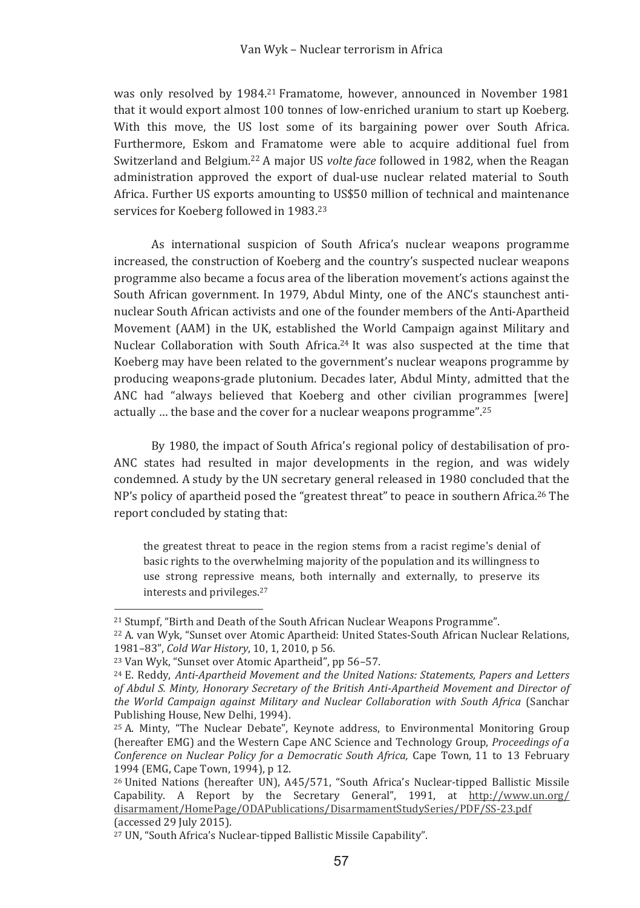was only resolved by 1984.<sup>21</sup> Framatome, however, announced in November 1981 that it would export almost 100 tonnes of low-enriched uranium to start up Koeberg. With this move, the US lost some of its bargaining power over South Africa. Furthermore, Eskom and Framatome were able to acquire additional fuel from Switzerland and Belgium.<sup>22</sup> A major US *volte face* followed in 1982, when the Reagan administration approved the export of dual-use nuclear related material to South Africa. Further US exports amounting to US\$50 million of technical and maintenance services for Koeberg followed in 1983.<sup>23</sup>

As international suspicion of South Africa's nuclear weapons programme increased, the construction of Koeberg and the country's suspected nuclear weapons programme also became a focus area of the liberation movement's actions against the South African government. In 1979, Abdul Minty, one of the ANC's staunchest antinuclear South African activists and one of the founder members of the Anti-Apartheid Movement (AAM) in the UK, established the World Campaign against Military and Nuclear Collaboration with South Africa.<sup>24</sup> It was also suspected at the time that Koeberg may have been related to the government's nuclear weapons programme by producing weapons-grade plutonium. Decades later, Abdul Minty, admitted that the ANC had "always believed that Koeberg and other civilian programmes [were] actually ... the base and the cover for a nuclear weapons programme".<sup>25</sup>

By 1980, the impact of South Africa's regional policy of destabilisation of pro-ANC states had resulted in major developments in the region, and was widely condemned. A study by the UN secretary general released in 1980 concluded that the NP's policy of apartheid posed the "greatest threat" to peace in southern Africa.<sup>26</sup> The report concluded by stating that:

the greatest threat to peace in the region stems from a racist regime's denial of basic rights to the overwhelming majority of the population and its willingness to use strong repressive means, both internally and externally, to preserve its interests and privileges.<sup>27</sup>

<sup>&</sup>lt;sup>21</sup> Stumpf, "Birth and Death of the South African Nuclear Weapons Programme".

<sup>&</sup>lt;sup>22</sup> A. van Wyk. "Sunset over Atomic Apartheid: United States-South African Nuclear Relations. 1981-83". Cold War History, 10, 1, 2010, p 56.

<sup>&</sup>lt;sup>23</sup> Van Wyk, "Sunset over Atomic Apartheid", pp 56-57.

<sup>&</sup>lt;sup>24</sup> E. Reddy, Anti-Apartheid Movement and the United Nations: Statements, Papers and Letters of Abdul S. Minty. Honorary Secretary of the British Anti-Apartheid Movement and Director of the World Campaian against Military and Nuclear Collaboration with South Africa (Sanchar Publishing House, New Delhi, 1994).

<sup>&</sup>lt;sup>25</sup> A. Minty, "The Nuclear Debate", Keynote address, to Environmental Monitoring Group (hereafter EMG) and the Western Cape ANC Science and Technology Group, Proceedings of a Conference on Nuclear Policy for a Democratic South Africa, Cape Town, 11 to 13 February 1994 (EMG. Cape Town, 1994), p 12.

<sup>&</sup>lt;sup>26</sup> United Nations (hereafter UN), A45/571, "South Africa's Nuclear-tipped Ballistic Missile Capability. A Report by the Secretary General", 1991, at http://www.un.org/ disarmament/HomePage/ODAPublications/DisarmamentStudySeries/PDF/SS-23.pdf (accessed 29 July 2015).

<sup>&</sup>lt;sup>27</sup> UN, "South Africa's Nuclear-tipped Ballistic Missile Capability".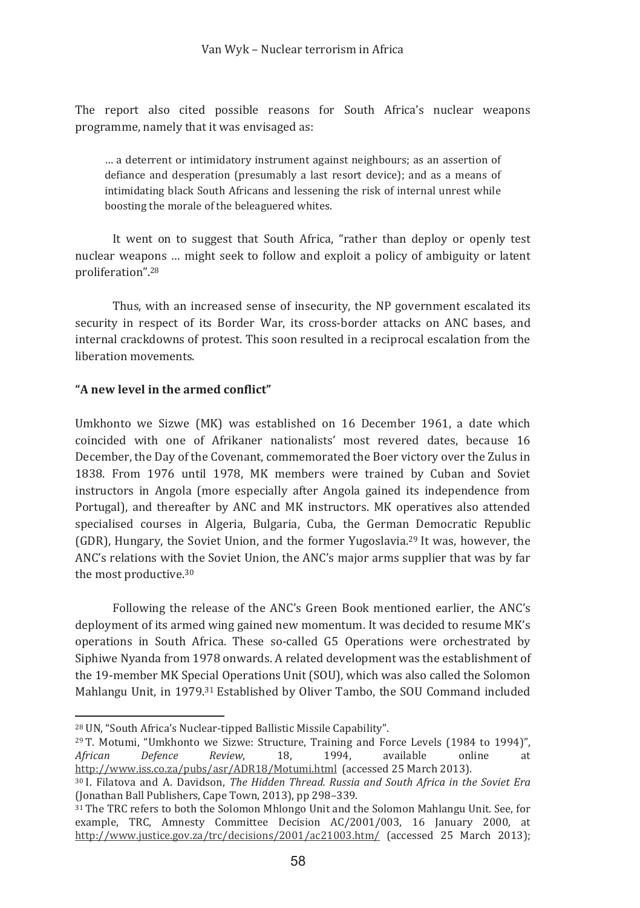The report also cited possible reasons for South Africa's nuclear weapons programme, namely that it was envisaged as:

... a deterrent or intimidatory instrument against neighbours; as an assertion of defiance and desperation (presumably a last resort device); and as a means of intimidating black South Africans and lessening the risk of internal unrest while boosting the morale of the beleaguered whites.

It went on to suggest that South Africa, "rather than deploy or openly test nuclear weapons ... might seek to follow and exploit a policy of ambiguity or latent proliferation".<sup>28</sup>

Thus, with an increased sense of insecurity, the NP government escalated its security in respect of its Border War, its cross-border attacks on ANC bases, and internal crackdowns of protest. This soon resulted in a reciprocal escalation from the liberation movements

## "A new level in the armed conflict"

Umkhonto we Sizwe (MK) was established on 16 December 1961, a date which coincided with one of Afrikaner nationalists' most revered dates, because 16 December, the Day of the Covenant, commemorated the Boer victory over the Zulus in 1838. From 1976 until 1978, MK members were trained by Cuban and Soviet instructors in Angola (more especially after Angola gained its independence from Portugal), and thereafter by ANC and MK instructors. MK operatives also attended specialised courses in Algeria, Bulgaria, Cuba, the German Democratic Republic (GDR). Hungary, the Soviet Union, and the former Yugoslavia.<sup>29</sup> It was, however, the  $\overline{\text{ANC's} }$  relations with the Soviet Union, the ANC's major arms supplier that was by far the most productive.<sup>30</sup>

Following the release of the ANC's Green Book mentioned earlier, the ANC's deployment of its armed wing gained new momentum. It was decided to resume MK's operations in South Africa. These so-called G5 Operations were orchestrated by Siphiwe Nyanda from 1978 onwards. A related development was the establishment of the 19-member MK Special Operations Unit (SOU), which was also called the Solomon Mahlangu Unit, in 1979.<sup>31</sup> Established by Oliver Tambo, the SOU Command included

<sup>28</sup> UN, "South Africa's Nuclear-tipped Ballistic Missile Capability".

<sup>&</sup>lt;sup>29</sup> T. Motumi, "Umkhonto we Sizwe: Structure, Training and Force Levels (1984 to 1994)",<br>*African* Defence Review. 18. 1994. available online at *African Defence Review,* 18, 1994, available online at <u>http://www.iss.co.za/pubs/asr/ADR18/Motumi.html</u> (accessed 25 March 2013).

<sup>&</sup>lt;sup>30</sup> I. Filatova and A. Davidson. The Hidden Thread. Russia and South Africa in the Soviet Era (Jonathan Ball Publishers, Cape Town, 2013), pp 298-339.

<sup>31</sup> The TRC refers to both the Solomon Mhlongo Unit and the Solomon Mahlangu Unit. See, for example. TRC. Amnesty Committee Decision AC/2001/003. 16 January 2000. at  $\frac{http://www.yustce.gov.za/trc/decisions/2001/ac21003.htm/}{$  (accessed 25 March 2013);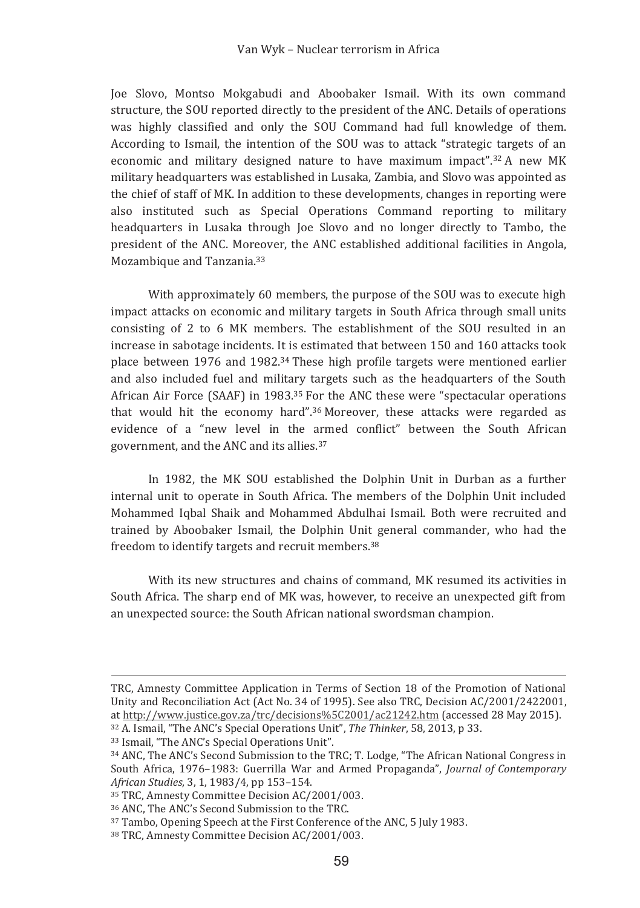Joe Slovo, Montso Mokgabudi and Aboobaker Ismail, With its own command structure, the SOU reported directly to the president of the ANC. Details of operations was highly classified and only the SOU Command had full knowledge of them. According to Ismail, the intention of the SOU was to attack "strategic targets of an economic and military designed nature to have maximum impact".<sup>32</sup> A new MK military headquarters was established in Lusaka, Zambia, and Slovo was appointed as the chief of staff of MK. In addition to these developments, changes in reporting were also instituted such as Special Operations Command reporting to military headquarters in Lusaka through Joe Slovo and no longer directly to Tambo, the president of the ANC. Moreover, the ANC established additional facilities in Angola. Mozambique and Tanzania.<sup>33</sup>

With approximately 60 members, the purpose of the SOU was to execute high impact attacks on economic and military targets in South Africa through small units consisting of 2 to 6 MK members. The establishment of the SOU resulted in an increase in sabotage incidents. It is estimated that between 150 and 160 attacks took place between 1976 and 1982.<sup>34</sup> These high profile targets were mentioned earlier and also included fuel and military targets such as the headquarters of the South African Air Force (SAAF) in 1983.<sup>35</sup> For the ANC these were "spectacular operations that would hit the economy hard".<sup>36</sup> Moreover, these attacks were regarded as evidence of a "new level in the armed conflict" between the South African government, and the ANC and its allies.<sup>37</sup>

In 1982, the MK SOU established the Dolphin Unit in Durban as a further internal unit to operate in South Africa. The members of the Dolphin Unit included Mohammed Iqbal Shaik and Mohammed Abdulhai Ismail. Both were recruited and trained by Aboobaker Ismail, the Dolphin Unit general commander, who had the freedom to identify targets and recruit members.<sup>38</sup>

With its new structures and chains of command. MK resumed its activities in South Africa. The sharp end of MK was, however, to receive an unexpected gift from an unexpected source: the South African national swordsman champion.

TRC. Amnesty Committee Application in Terms of Section 18 of the Promotion of National Unity and Reconciliation Act (Act No. 34 of 1995). See also TRC. Decision AC/2001/2422001. at http://www.justice.gov.za/trc/decisions%5C2001/ac21242.htm (accessed 28 May 2015).

<sup>&</sup>lt;sup>32</sup> A. Ismail, "The ANC's Special Operations Unit", The Thinker, 58, 2013, p 33.

<sup>&</sup>lt;sup>33</sup> Ismail, "The ANC's Special Operations Unit".

<sup>&</sup>lt;sup>34</sup> ANC. The ANC's Second Submission to the TRC; T. Lodge, "The African National Congress in South Africa, 1976-1983: Guerrilla War and Armed Propaganda", Journal of Contemporary African Studies, 3, 1, 1983/4, pp 153-154.

<sup>&</sup>lt;sup>35</sup> TRC, Amnesty Committee Decision AC/2001/003.

<sup>&</sup>lt;sup>36</sup> ANC, The ANC's Second Submission to the TRC.

<sup>&</sup>lt;sup>37</sup> Tambo, Opening Speech at the First Conference of the ANC, 5 July 1983.

<sup>&</sup>lt;sup>38</sup> TRC, Amnesty Committee Decision AC/2001/003.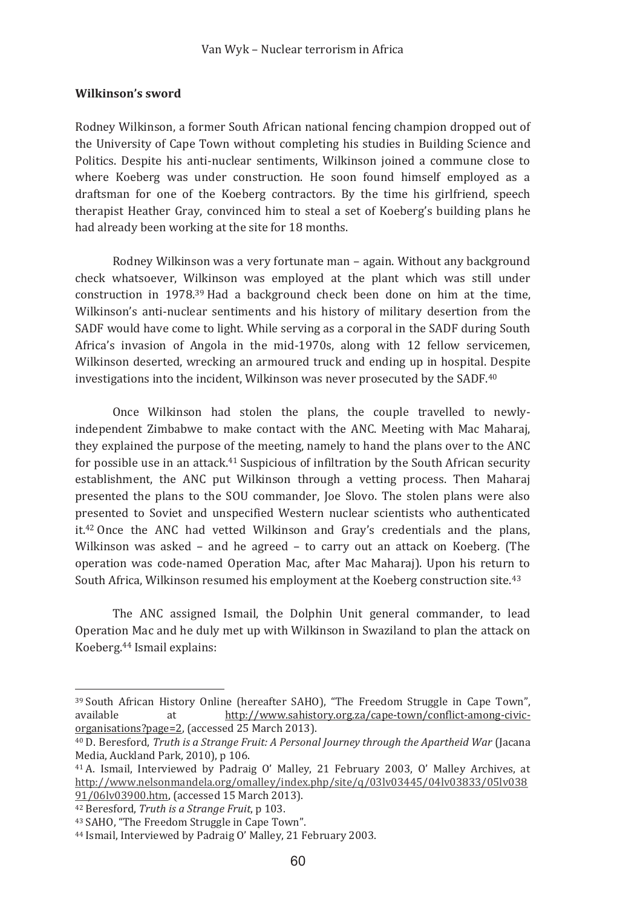### Wilkinson's sword

Rodney Wilkinson, a former South African national fencing champion dropped out of the University of Cape Town without completing his studies in Building Science and Politics. Despite his anti-nuclear sentiments. Wilkinson joined a commune close to where Koeberg was under construction. He soon found himself employed as a draftsman for one of the Koeberg contractors. By the time his girlfriend, speech therapist Heather Gray, convinced him to steal a set of Koeberg's building plans he had already been working at the site for 18 months.

Rodney Wilkinson was a very fortunate man - again. Without any background check whatsoever, Wilkinson was employed at the plant which was still under construction in 1978.<sup>39</sup> Had a background check been done on him at the time. Wilkinson's anti-nuclear sentiments and his history of military desertion from the SADF would have come to light. While serving as a corporal in the SADF during South Africa's invasion of Angola in the mid-1970s, along with 12 fellow servicemen, Wilkinson deserted, wrecking an armoured truck and ending up in hospital. Despite investigations into the incident, Wilkinson was never prosecuted by the SADF.<sup>40</sup>

Once Wilkinson had stolen the plans, the couple travelled to newlyindependent Zimbabwe to make contact with the ANC. Meeting with Mac Maharai. they explained the purpose of the meeting, namely to hand the plans over to the ANC for possible use in an attack.<sup>41</sup> Suspicious of infiltration by the South African security establishment, the ANC put Wilkinson through a vetting process. Then Maharaj presented the plans to the SOU commander. Joe Slovo. The stolen plans were also presented to Soviet and unspecified Western nuclear scientists who authenticated it.<sup>42</sup> Once the ANC had vetted Wilkinson and Gray's credentials and the plans, Wilkinson was asked - and he agreed - to carry out an attack on Koeberg. (The operation was code-named Operation Mac, after Mac Maharaj). Upon his return to South Africa, Wilkinson resumed his employment at the Koeberg construction site.<sup>43</sup>

The ANC assigned Ismail, the Dolphin Unit general commander, to lead Operation Mac and he duly met up with Wilkinson in Swaziland to plan the attack on Koeberg.<sup>44</sup> Ismail explains:

<sup>&</sup>lt;sup>39</sup> South African History Online (hereafter SAHO). "The Freedom Struggle in Cape Town". available at http://www.sahistory.org.za/cape-town/conflict-among-civicorganisations?page=2, (accessed 25 March 2013).

<sup>&</sup>lt;sup>40</sup> D. Beresford, Truth is a Strange Fruit: A Personal Journey through the Apartheid War (Jacana Media, Auckland Park, 2010), p 106.

<sup>&</sup>lt;sup>41</sup> A. Ismail, Interviewed by Padraig O' Malley, 21 February 2003, O' Malley Archives, at http://www.nelsonmandela.org/omalley/index.php/site/q/03ly03445/04ly03833/05ly038 91/06lv03900.htm, (accessed 15 March 2013).

<sup>&</sup>lt;sup>42</sup> Beresford, Truth is a Strange Fruit, p 103.

<sup>&</sup>lt;sup>43</sup> SAHO. "The Freedom Struggle in Cape Town".

<sup>&</sup>lt;sup>44</sup> Ismail, Interviewed by Padraig O' Malley, 21 February 2003.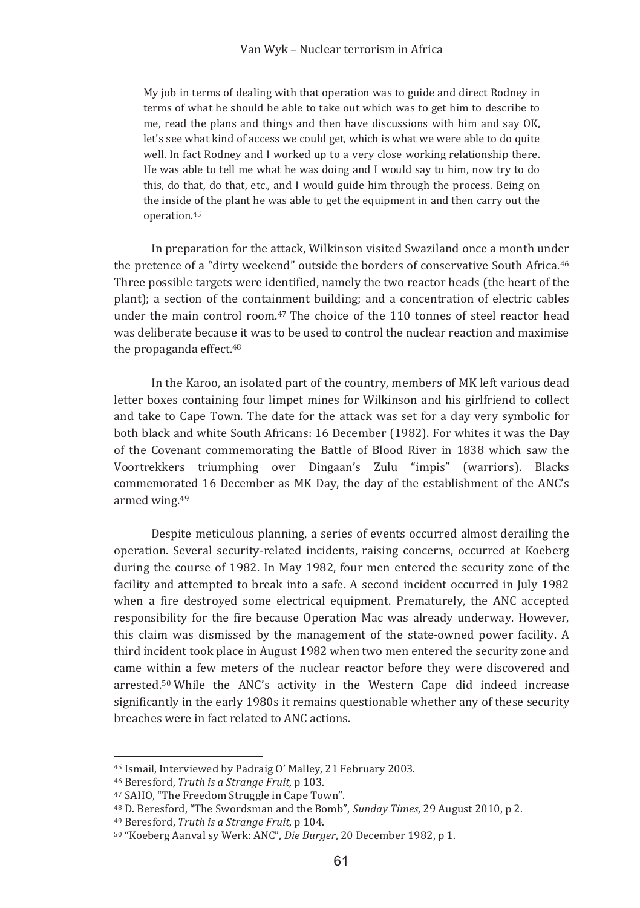My job in terms of dealing with that operation was to guide and direct Rodney in terms of what he should be able to take out which was to get him to describe to me, read the plans and things and then have discussions with him and say OK. let's see what kind of access we could get, which is what we were able to do quite well. In fact Rodney and I worked up to a very close working relationship there. He was able to tell me what he was doing and I would say to him, now try to do this, do that, do that, etc., and I would guide him through the process. Being on the inside of the plant he was able to get the equipment in and then carry out the operation.<sup>45</sup>

In preparation for the attack, Wilkinson visited Swaziland once a month under the pretence of a "dirty weekend" outside the borders of conservative South Africa.<sup>46</sup> Three possible targets were identified, namely the two reactor heads (the heart of the plant); a section of the containment building; and a concentration of electric cables under the main control room.<sup>47</sup> The choice of the 110 tonnes of steel reactor head was deliberate because it was to be used to control the nuclear reaction and maximise the propaganda effect.<sup>48</sup>

In the Karoo, an isolated part of the country, members of MK left various dead letter boxes containing four limpet mines for Wilkinson and his girlfriend to collect and take to Cape Town. The date for the attack was set for a day very symbolic for both black and white South Africans: 16 December (1982). For whites it was the Day of the Covenant commemorating the Battle of Blood River in 1838 which saw the Voortrekkers triumphing over Dingaan's Zulu "impis" (warriors). Blacks commemorated 16 December as MK Day, the day of the establishment of the ANC's armed wing.<sup>49</sup>

Despite meticulous planning, a series of events occurred almost derailing the operation. Several security-related incidents, raising concerns, occurred at Koeberg during the course of 1982. In May 1982, four men entered the security zone of the facility and attempted to break into a safe. A second incident occurred in July 1982 when a fire destroyed some electrical equipment. Prematurely, the ANC accepted responsibility for the fire because Operation Mac was already underway. However, this claim was dismissed by the management of the state-owned power facility. A third incident took place in August 1982 when two men entered the security zone and came within a few meters of the nuclear reactor before they were discovered and arrested.<sup>50</sup> While the ANC's activity in the Western Cape did indeed increase significantly in the early 1980s it remains questionable whether any of these security breaches were in fact related to ANC actions

<sup>&</sup>lt;sup>45</sup> Ismail. Interviewed by Padraig O' Malley, 21 February 2003.

<sup>46</sup> Beresford, Truth is a Strange Fruit, p 103.

<sup>&</sup>lt;sup>47</sup> SAHO, "The Freedom Struggle in Cape Town".

<sup>&</sup>lt;sup>48</sup> D. Beresford, "The Swordsman and the Bomb", Sunday Times, 29 August 2010, p 2.

<sup>&</sup>lt;sup>49</sup> Beresford, Truth is a Strange Fruit, p 104.

<sup>&</sup>lt;sup>50</sup> "Koeberg Aanval sy Werk: ANC", Die Burger, 20 December 1982, p 1.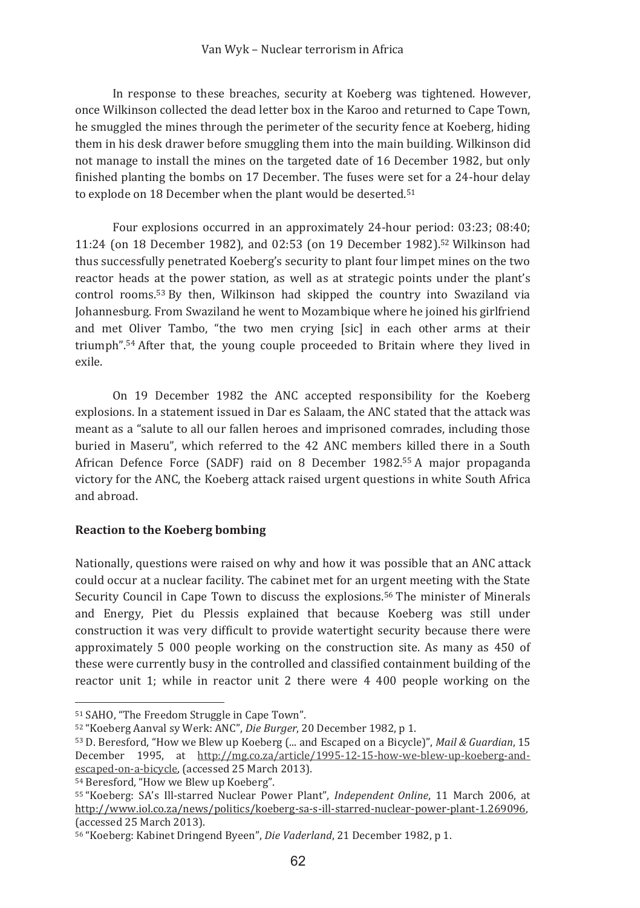In response to these breaches, security at Koeberg was tightened, However, once Wilkinson collected the dead letter box in the Karoo and returned to Cape Town, he smuggled the mines through the perimeter of the security fence at Koeberg, hiding them in his desk drawer before smuggling them into the main building. Wilkinson did not manage to install the mines on the targeted date of 16 December 1982, but only finished planting the bombs on 17 December. The fuses were set for a 24-hour delay to explode on 18 December when the plant would be deserted.<sup>51</sup>

Four explosions occurred in an approximately 24-hour period: 03:23; 08:40; 11:24 (on 18 December 1982), and 02:53 (on 19 December 1982).<sup>52</sup> Wilkinson had thus successfully penetrated Koeberg's security to plant four limpet mines on the two reactor heads at the power station, as well as at strategic points under the plant's control rooms.<sup>53</sup> By then. Wilkinson had skipped the country into Swaziland via Johannesburg. From Swaziland he went to Mozambique where he joined his girlfriend and met Oliver Tambo, "the two men crying [sic] in each other arms at their triumph".<sup>54</sup> After that, the young couple proceeded to Britain where they lived in  $\rho$ xil $\rho$ 

On 19 December 1982 the ANC accepted responsibility for the Koeberg explosions. In a statement issued in Dar es Salaam, the ANC stated that the attack was meant as a "salute to all our fallen heroes and imprisoned comrades, including those buried in Maseru", which referred to the 42 ANC members killed there in a South African Defence Force (SADF) raid on 8 December 1982.<sup>55</sup> A major propaganda victory for the ANC, the Koeberg attack raised urgent questions in white South Africa and abroad.

### **Reaction to the Koeberg bombing**

Nationally, questions were raised on why and how it was possible that an ANC attack could occur at a nuclear facility. The cabinet met for an urgent meeting with the State Security Council in Cape Town to discuss the explosions.<sup>56</sup> The minister of Minerals and Energy, Piet du Plessis explained that because Koeberg was still under construction it was very difficult to provide watertight security because there were approximately 5 000 people working on the construction site. As many as 450 of these were currently busy in the controlled and classified containment building of the reactor unit 1; while in reactor unit 2 there were 4 400 people working on the

<sup>54</sup> Beresford, "How we Blew up Koeberg".

<sup>&</sup>lt;sup>51</sup> SAHO, "The Freedom Struggle in Cape Town".

<sup>&</sup>lt;sup>52</sup> "Koeberg Aanval sy Werk: ANC", Die Burger, 20 December 1982, p 1.

<sup>53</sup> D. Beresford, "How we Blew up Koeberg (... and Escaped on a Bicycle)", Mail & Guardian, 15 December 1995, at http://mg.co.za/article/1995-12-15-how-we-blew-up-koeberg-andescaped-on-a-bicycle, (accessed 25 March 2013).

<sup>&</sup>lt;sup>55</sup> "Koeberg: SA's Ill-starred Nuclear Power Plant", *Independent Online*, 11 March 2006, at http://www.iol.co.za/news/politics/koeberg-sa-s-ill-starred-nuclear-power-plant-1.269096, (accessed 25 March 2013).

<sup>&</sup>lt;sup>56</sup> "Koeberg: Kabinet Dringend Byeen", Die Vaderland, 21 December 1982, p 1.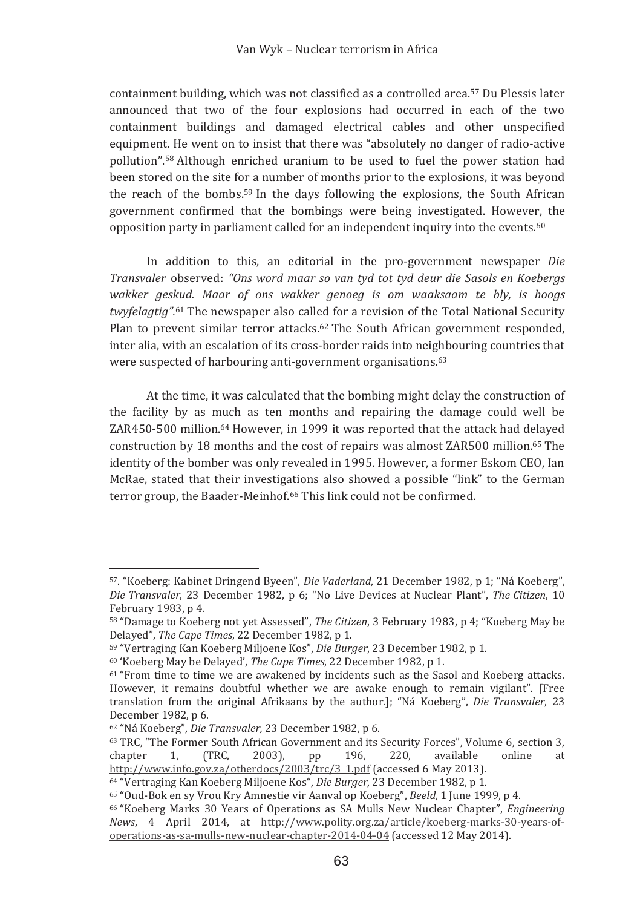containment building, which was not classified as a controlled area.<sup>57</sup> Du Plessis later announced that two of the four explosions had occurred in each of the two containment buildings and damaged electrical cables and other unspecified equipment. He went on to insist that there was "absolutely no danger of radio-active pollution".<sup>58</sup> Although enriched uranium to be used to fuel the power station had been stored on the site for a number of months prior to the explosions, it was beyond the reach of the bombs.<sup>59</sup> In the days following the explosions, the South African government confirmed that the bombings were being investigated. However, the opposition party in parliament called for an independent inquiry into the events.<sup>60</sup>

In addition to this, an editorial in the pro-government newspaper Die Transvaler observed: "Ons word maar so van tyd tot tyd deur die Sasols en Koebergs wakker aeskud. Maar of ons wakker aenoea is om waaksaam te bly, is hooas twyfelagtig".<sup>61</sup> The newspaper also called for a revision of the Total National Security Plan to prevent similar terror attacks.<sup>62</sup> The South African government responded, inter alia, with an escalation of its cross-border raids into neighbouring countries that were suspected of harbouring anti-government organisations.<sup>63</sup>

At the time, it was calculated that the bombing might delay the construction of the facility by as much as ten months and repairing the damage could well be ZAR450-500 million.<sup>64</sup> However, in 1999 it was reported that the attack had delayed construction by 18 months and the cost of repairs was almost ZAR500 million.<sup>65</sup> The identity of the bomber was only revealed in 1995. However, a former Eskom CEO, Ian McRae, stated that their investigations also showed a possible "link" to the German terror group, the Baader-Meinhof.<sup>66</sup> This link could not be confirmed.

<sup>&</sup>lt;sup>57</sup>. "Koeberg: Kabinet Dringend Byeen", Die Vaderland, 21 December 1982, p 1; "Ná Koeberg", Die Transvaler, 23 December 1982, p 6; "No Live Devices at Nuclear Plant", The Citizen, 10 February 1983, p 4.

<sup>&</sup>lt;sup>58</sup> "Damage to Koeberg not yet Assessed", *The Citizen*, 3 February 1983, p 4; "Koeberg May be Delaved". The Cape Times. 22 December 1982. p 1.

<sup>&</sup>lt;sup>59</sup> "Vertraging Kan Koeberg Miljoene Kos", *Die Burger*, 23 December 1982, p 1,

<sup>&</sup>lt;sup>60</sup> 'Koeberg May be Delayed', *The Cape Times*, 22 December 1982, p 1.

<sup>&</sup>lt;sup>61</sup> "From time to time we are awakened by incidents such as the Sasol and Koeberg attacks. However, it remains doubtful whether we are awake enough to remain vigilant". [Free translation from the original Afrikaans by the author. I: "Ná Koeberg", Die Transvaler, 23 December 1982, p 6.

<sup>&</sup>lt;sup>62</sup> "Ná Koeberg", Die Transvaler, 23 December 1982, p 6.

<sup>&</sup>lt;sup>63</sup> TRC, "The Former South African Government and its Security Forces", Volume 6, section 3, 220.  $\overline{1}$ . TRC.  $2003$ . 196. online chapter  $pp$ available  $\mathbf{a}$ + http://www.info.gov.za/otherdocs/2003/trc/3 1.pdf (accessed 6 May 2013).

<sup>&</sup>lt;sup>64</sup> "Vertraging Kan Koeberg Milioene Kos", *Die Burger*, 23 December 1982, p 1,

<sup>&</sup>lt;sup>65</sup> "Oud-Bok en sy Vrou Kry Amnestie vir Aanval op Koeberg", Beeld, 1 June 1999, p 4.

<sup>&</sup>lt;sup>66</sup> "Koeberg Marks 30 Years of Operations as SA Mulls New Nuclear Chapter", *Engineering* News. 4 April 2014. at http://www.polity.org.za/article/koeberg-marks-30-years-ofoperations-as-sa-mulls-new-nuclear-chapter-2014-04-04 (accessed 12 May 2014).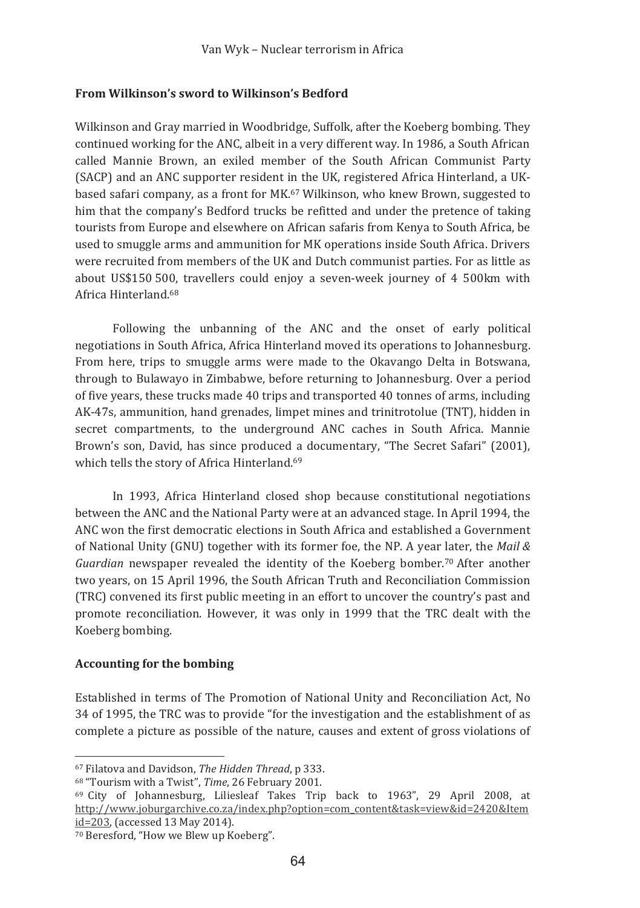### From Wilkinson's sword to Wilkinson's Bedford

Wilkinson and Gray married in Woodbridge, Suffolk, after the Koeberg bombing. They continued working for the ANC, albeit in a very different way. In 1986, a South African called Mannie Brown, an exiled member of the South African Communist Party (SACP) and an ANC supporter resident in the UK, registered Africa Hinterland, a UKbased safari company, as a front for MK.<sup>67</sup> Wilkinson, who knew Brown, suggested to him that the company's Bedford trucks be refitted and under the pretence of taking tourists from Europe and elsewhere on African safaris from Kenya to South Africa, be used to smuggle arms and ammunition for MK operations inside South Africa. Drivers were recruited from members of the UK and Dutch communist parties. For as little as about US\$150 500, travellers could enjoy a seven-week journey of 4 500km with Africa Hinterland 68

Following the unbanning of the ANC and the onset of early political negotiations in South Africa. Africa Hinterland moved its operations to Johannesburg. From here, trips to smuggle arms were made to the Okavango Delta in Botswana, through to Bulawayo in Zimbabwe, before returning to Johannesburg. Over a period of five years, these trucks made 40 trips and transported 40 tonnes of arms, including AK-47s, ammunition, hand grenades, limpet mines and trinitrotolue (TNT), hidden in secret compartments, to the underground ANC caches in South Africa. Mannie Brown's son, David, has since produced a documentary, "The Secret Safari" (2001), which tells the story of Africa Hinterland.<sup>69</sup>

In 1993. Africa Hinterland closed shop because constitutional negotiations between the ANC and the National Party were at an advanced stage. In April 1994, the ANC won the first democratic elections in South Africa and established a Government of National Unity (GNU) together with its former foe, the NP. A year later, the Mail  $\&$ Guardian newspaper revealed the identity of the Koeberg bomber.<sup>70</sup> After another two years, on 15 April 1996, the South African Truth and Reconciliation Commission (TRC) convened its first public meeting in an effort to uncover the country's past and promote reconciliation. However, it was only in 1999 that the TRC dealt with the Koeberg bombing.

### **Accounting for the bombing**

Established in terms of The Promotion of National Unity and Reconciliation Act, No 34 of 1995, the TRC was to provide "for the investigation and the establishment of as complete a picture as possible of the nature, causes and extent of gross violations of

<sup>&</sup>lt;sup>67</sup> Filatova and Davidson. The Hidden Thread, p 333.

<sup>&</sup>lt;sup>68</sup> "Tourism with a Twist". Time, 26 February 2001.

<sup>&</sup>lt;sup>69</sup> City of Johannesburg, Liliesleaf Takes Trip back to 1963", 29 April 2008, at http://www.joburgarchive.co.za/index.php?option=com\_content&task=view&id=2420&Item id=203, (accessed 13 May 2014).

<sup>&</sup>lt;sup>70</sup> Beresford, "How we Blew up Koeberg".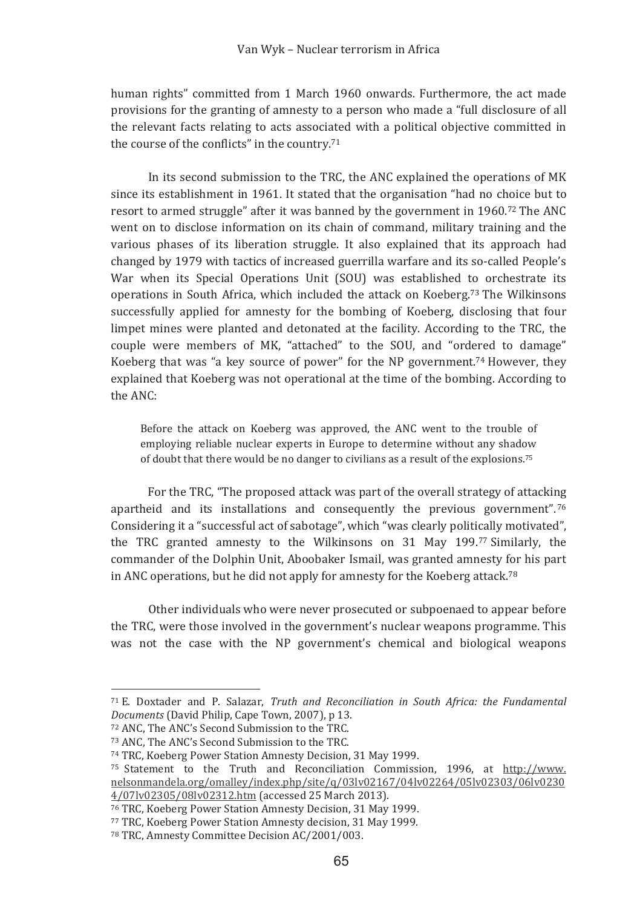human rights" committed from I March 1960 onwards. Furthermore, the act made provisions for the granting of amnesty to a person who made a "full disclosure of all the relevant facts relating to acts associated with a political objective committed in the course of the conflicts" in the country.<sup>71</sup>

In its second submission to the TRC, the ANC explained the operations of MK since its establishment in 1961. It stated that the organisation "had no choice but to resort to armed struggle" after it was banned by the government in 1960.<sup>72</sup> The ANC went on to disclose information on its chain of command, military training and the various phases of its liberation struggle. It also explained that its approach had changed by 1979 with tactics of increased guerrilla warfare and its so-called People's War when its Special Operations Unit (SOU) was established to orchestrate its operations in South Africa, which included the attack on Koeberg.<sup>73</sup> The Wilkinsons successfully applied for amnesty for the bombing of Koeberg, disclosing that four limpet mines were planted and detonated at the facility. According to the TRC, the couple were members of MK, "attached" to the SOU, and "ordered to damage" Koeberg that was "a key source of power" for the NP government.<sup>74</sup> However, they explained that Koeberg was not operational at the time of the bombing. According to the ANC:

Before the attack on Koeberg was approved, the ANC went to the trouble of emploving reliable nuclear experts in Europe to determine without any shadow of doubt that there would be no danger to civilians as a result of the explosions.<sup>75</sup>

For the TRC, "The proposed attack was part of the overall strategy of attacking apartheid and its installations and consequently the previous government".<sup>76</sup> Considering it a "successful act of sabotage", which "was clearly politically motivated", the TRC granted amnesty to the Wilkinsons on 31 May 199. $\%$  Similarly, the commander of the Dolphin Unit, Aboobaker Ismail, was granted amnesty for his part in ANC operations, but he did not apply for amnesty for the Koeberg attack.<sup>78</sup>

Other individuals who were never prosecuted or subpoenaed to appear before the TRC, were those involved in the government's nuclear weapons programme. This was not the case with the NP government's chemical and biological weapons

<sup>&</sup>lt;sup>71</sup> E. Doxtader and P. Salazar. Truth and Reconciliation in South Africa: the Fundamental *Documents* (David Philip, Cape Town, 2007), p 13.

<sup>&</sup>lt;sup>72</sup> ANC, The ANC's Second Submission to the TRC.

<sup>73</sup> ANC, The ANC's Second Submission to the TRC.

<sup>&</sup>lt;sup>74</sup> TRC, Koeberg Power Station Amnesty Decision, 31 May 1999.

<sup>&</sup>lt;sup>75</sup> Statement to the Truth and Reconciliation Commission, 1996, at <u>http://www.</u> <u>nelsonmandela.org/omalley/index.php/site/q/03lv02167/04lv02264/05lv02303/06lv0230</u> 4/07lv02305/08lv02312.htm (accessed 25 March 2013).

<sup>&</sup>lt;sup>76</sup> TRC, Koeberg Power Station Amnesty Decision, 31 May 1999.

<sup>&</sup>lt;sup>77</sup> TRC, Koeberg Power Station Amnesty decision, 31 May 1999.

<sup>&</sup>lt;sup>78</sup> TRC, Amnesty Committee Decision AC/2001/003.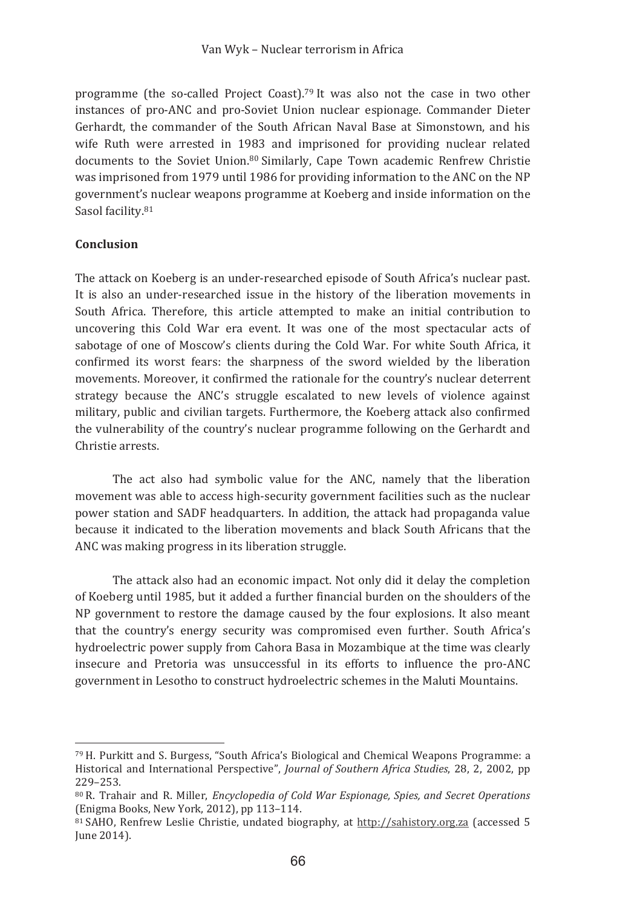programme (the so-called Project Coast).<sup>79</sup> It was also not the case in two other instances of pro-ANC and pro-Soviet Union nuclear espionage. Commander Dieter Gerhardt, the commander of the South African Naval Base at Simonstown, and his wife Ruth were arrested in 1983 and imprisoned for providing nuclear related documents to the Soviet Union.<sup>80</sup> Similarly, Cape Town academic Renfrew Christie was imprisoned from 1979 until 1986 for providing information to the ANC on the NP government's nuclear weapons programme at Koeberg and inside information on the Sasol facility.81

### Conclusion

The attack on Koeberg is an under-researched episode of South Africa's nuclear past. It is also an under-researched issue in the history of the liberation movements in South Africa. Therefore, this article attempted to make an initial contribution to uncovering this Cold War era event. It was one of the most spectacular acts of sabotage of one of Moscow's clients during the Cold War. For white South Africa, it confirmed its worst fears: the sharpness of the sword wielded by the liberation movements. Moreover, it confirmed the rationale for the country's nuclear deterrent strategy because the ANC's struggle escalated to new levels of violence against military, public and civilian targets. Furthermore, the Koeberg attack also confirmed the vulnerability of the country's nuclear programme following on the Gerhardt and Christie arrests.

The act also had symbolic value for the ANC, namely that the liberation movement was able to access high-security government facilities such as the nuclear power station and SADF headquarters. In addition, the attack had propaganda value because it indicated to the liberation movements and black South Africans that the ANC was making progress in its liberation struggle.

The attack also had an economic impact. Not only did it delay the completion of Koeberg until 1985, but it added a further financial burden on the shoulders of the NP government to restore the damage caused by the four explosions. It also meant that the country's energy security was compromised even further. South Africa's hydroelectric power supply from Cahora Basa in Mozambique at the time was clearly insecure and Pretoria was unsuccessful in its efforts to influence the pro-ANC government in Lesotho to construct hydroelectric schemes in the Maluti Mountains.

<sup>79</sup> H. Purkitt and S. Burgess, "South Africa's Biological and Chemical Weapons Programme: a Historical and International Perspective", Journal of Southern Africa Studies, 28, 2, 2002, pp 229-253.

<sup>&</sup>lt;sup>80</sup> R. Trahair and R. Miller, *Encyclopedia of Cold War Espionage, Spies, and Secret Operations* (Enigma Books, New York, 2012), pp 113-114.

 $81$  SAHO. Renfrew Leslie Christie, undated biography, at http://sahistory.org.za (accessed 5) June 2014).